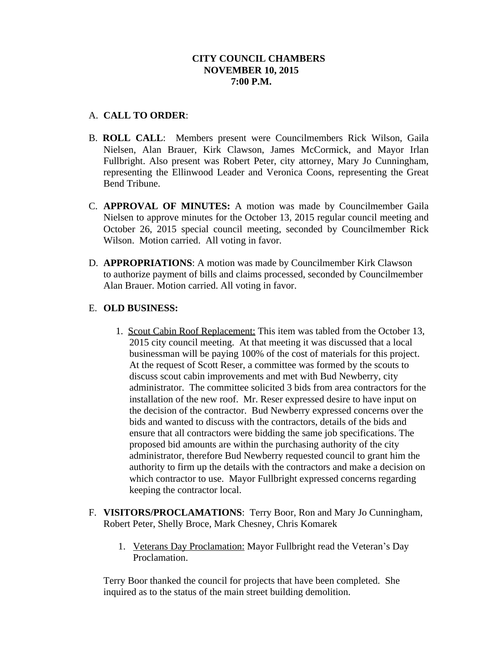## **CITY COUNCIL CHAMBERS NOVEMBER 10, 2015 7:00 P.M.**

## A. **CALL TO ORDER**:

- B. **ROLL CALL**: Members present were Councilmembers Rick Wilson, Gaila Nielsen, Alan Brauer, Kirk Clawson, James McCormick, and Mayor Irlan Fullbright. Also present was Robert Peter, city attorney, Mary Jo Cunningham, representing the Ellinwood Leader and Veronica Coons, representing the Great Bend Tribune.
- C. **APPROVAL OF MINUTES:** A motion was made by Councilmember Gaila Nielsen to approve minutes for the October 13, 2015 regular council meeting and October 26, 2015 special council meeting, seconded by Councilmember Rick Wilson. Motion carried. All voting in favor.
- D. **APPROPRIATIONS**: A motion was made by Councilmember Kirk Clawson to authorize payment of bills and claims processed, seconded by Councilmember Alan Brauer. Motion carried. All voting in favor.

# E. **OLD BUSINESS:**

- 1. Scout Cabin Roof Replacement: This item was tabled from the October 13, 2015 city council meeting. At that meeting it was discussed that a local businessman will be paying 100% of the cost of materials for this project. At the request of Scott Reser, a committee was formed by the scouts to discuss scout cabin improvements and met with Bud Newberry, city administrator. The committee solicited 3 bids from area contractors for the installation of the new roof. Mr. Reser expressed desire to have input on the decision of the contractor. Bud Newberry expressed concerns over the bids and wanted to discuss with the contractors, details of the bids and ensure that all contractors were bidding the same job specifications. The proposed bid amounts are within the purchasing authority of the city administrator, therefore Bud Newberry requested council to grant him the authority to firm up the details with the contractors and make a decision on which contractor to use. Mayor Fullbright expressed concerns regarding keeping the contractor local.
- F. **VISITORS/PROCLAMATIONS**: Terry Boor, Ron and Mary Jo Cunningham, Robert Peter, Shelly Broce, Mark Chesney, Chris Komarek
	- 1. Veterans Day Proclamation: Mayor Fullbright read the Veteran's Day Proclamation.

Terry Boor thanked the council for projects that have been completed. She inquired as to the status of the main street building demolition.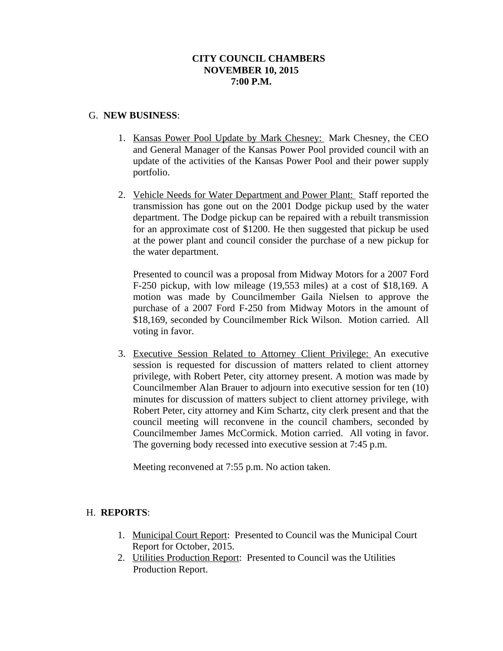## **CITY COUNCIL CHAMBERS NOVEMBER 10, 2015 7:00 P.M.**

#### G. **NEW BUSINESS**:

- 1. Kansas Power Pool Update by Mark Chesney: Mark Chesney, the CEO and General Manager of the Kansas Power Pool provided council with an update of the activities of the Kansas Power Pool and their power supply portfolio.
- 2. Vehicle Needs for Water Department and Power Plant: Staff reported the transmission has gone out on the 2001 Dodge pickup used by the water department. The Dodge pickup can be repaired with a rebuilt transmission for an approximate cost of \$1200. He then suggested that pickup be used at the power plant and council consider the purchase of a new pickup for the water department.

Presented to council was a proposal from Midway Motors for a 2007 Ford F-250 pickup, with low mileage (19,553 miles) at a cost of \$18,169. A motion was made by Councilmember Gaila Nielsen to approve the purchase of a 2007 Ford F-250 from Midway Motors in the amount of \$18,169, seconded by Councilmember Rick Wilson. Motion carried. All voting in favor.

3. Executive Session Related to Attorney Client Privilege: An executive session is requested for discussion of matters related to client attorney privilege, with Robert Peter, city attorney present. A motion was made by Councilmember Alan Brauer to adjourn into executive session for ten (10) minutes for discussion of matters subject to client attorney privilege, with Robert Peter, city attorney and Kim Schartz, city clerk present and that the council meeting will reconvene in the council chambers, seconded by Councilmember James McCormick. Motion carried. All voting in favor. The governing body recessed into executive session at 7:45 p.m.

Meeting reconvened at 7:55 p.m. No action taken.

#### H. **REPORTS**:

- 1. Municipal Court Report: Presented to Council was the Municipal Court Report for October, 2015.
- 2. Utilities Production Report: Presented to Council was the Utilities Production Report.